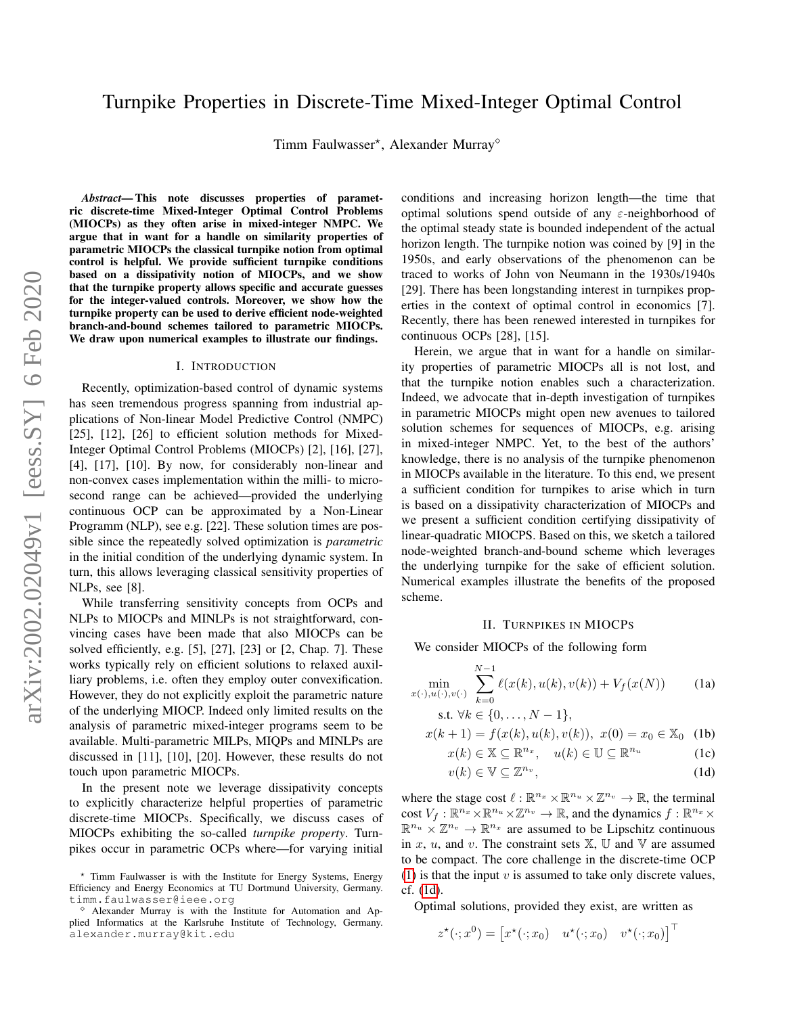# Turnpike Properties in Discrete-Time Mixed-Integer Optimal Control

Timm Faulwasser\*, Alexander Murray<sup>®</sup>

*Abstract*— This note discusses properties of parametric discrete-time Mixed-Integer Optimal Control Problems (MIOCPs) as they often arise in mixed-integer NMPC. We argue that in want for a handle on similarity properties of parametric MIOCPs the classical turnpike notion from optimal control is helpful. We provide sufficient turnpike conditions based on a dissipativity notion of MIOCPs, and we show that the turnpike property allows specific and accurate guesses for the integer-valued controls. Moreover, we show how the turnpike property can be used to derive efficient node-weighted branch-and-bound schemes tailored to parametric MIOCPs. We draw upon numerical examples to illustrate our findings.

## I. INTRODUCTION

Recently, optimization-based control of dynamic systems has seen tremendous progress spanning from industrial applications of Non-linear Model Predictive Control (NMPC) [25], [12], [26] to efficient solution methods for Mixed-Integer Optimal Control Problems (MIOCPs) [2], [16], [27], [4], [17], [10]. By now, for considerably non-linear and non-convex cases implementation within the milli- to microsecond range can be achieved—provided the underlying continuous OCP can be approximated by a Non-Linear Programm (NLP), see e.g. [22]. These solution times are possible since the repeatedly solved optimization is *parametric* in the initial condition of the underlying dynamic system. In turn, this allows leveraging classical sensitivity properties of NLPs, see [8].

While transferring sensitivity concepts from OCPs and NLPs to MIOCPs and MINLPs is not straightforward, convincing cases have been made that also MIOCPs can be solved efficiently, e.g. [5], [27], [23] or [2, Chap. 7]. These works typically rely on efficient solutions to relaxed auxilliary problems, i.e. often they employ outer convexification. However, they do not explicitly exploit the parametric nature of the underlying MIOCP. Indeed only limited results on the analysis of parametric mixed-integer programs seem to be available. Multi-parametric MILPs, MIQPs and MINLPs are discussed in [11], [10], [20]. However, these results do not touch upon parametric MIOCPs.

In the present note we leverage dissipativity concepts to explicitly characterize helpful properties of parametric discrete-time MIOCPs. Specifically, we discuss cases of MIOCPs exhibiting the so-called *turnpike property*. Turnpikes occur in parametric OCPs where—for varying initial conditions and increasing horizon length—the time that optimal solutions spend outside of any  $\varepsilon$ -neighborhood of the optimal steady state is bounded independent of the actual horizon length. The turnpike notion was coined by [9] in the 1950s, and early observations of the phenomenon can be traced to works of John von Neumann in the 1930s/1940s [29]. There has been longstanding interest in turnpikes properties in the context of optimal control in economics [7]. Recently, there has been renewed interested in turnpikes for continuous OCPs [28], [15].

Herein, we argue that in want for a handle on similarity properties of parametric MIOCPs all is not lost, and that the turnpike notion enables such a characterization. Indeed, we advocate that in-depth investigation of turnpikes in parametric MIOCPs might open new avenues to tailored solution schemes for sequences of MIOCPs, e.g. arising in mixed-integer NMPC. Yet, to the best of the authors' knowledge, there is no analysis of the turnpike phenomenon in MIOCPs available in the literature. To this end, we present a sufficient condition for turnpikes to arise which in turn is based on a dissipativity characterization of MIOCPs and we present a sufficient condition certifying dissipativity of linear-quadratic MIOCPS. Based on this, we sketch a tailored node-weighted branch-and-bound scheme which leverages the underlying turnpike for the sake of efficient solution. Numerical examples illustrate the benefits of the proposed scheme.

#### <span id="page-0-0"></span>II. TURNPIKES IN MIOCPS

We consider MIOCPs of the following form

$$
\min_{x(\cdot), u(\cdot), v(\cdot)} \sum_{k=0}^{N-1} \ell(x(k), u(k), v(k)) + V_f(x(N)) \tag{1a}
$$

$$
\text{s.t. } \forall k \in \{0, \ldots, N-1\},
$$

$$
x(k + 1) = f(x(k), u(k), v(k)), \ x(0) = x_0 \in \mathbb{X}_0 \tag{1b}
$$

$$
x(k) \in \mathbb{X} \subseteq \mathbb{R}^{n_x}, \quad u(k) \in \mathbb{U} \subseteq \mathbb{R}^{n_u} \tag{1c}
$$

<span id="page-0-1"></span>
$$
v(k) \in \mathbb{V} \subseteq \mathbb{Z}^{n_v},\tag{1d}
$$

where the stage cost  $\ell : \mathbb{R}^{n_x} \times \mathbb{R}^{n_u} \times \mathbb{Z}^{n_v} \to \mathbb{R}$ , the terminal cost  $V_f: \mathbb{R}^{n_x} \times \mathbb{R}^{n_u} \times \mathbb{Z}^{n_v} \to \mathbb{R}$ , and the dynamics  $f: \mathbb{R}^{n_x} \times$  $\mathbb{R}^{n_u} \times \mathbb{Z}^{n_v} \to \mathbb{R}^{n_x}$  are assumed to be Lipschitz continuous in x, u, and v. The constraint sets  $X$ , U and V are assumed to be compact. The core challenge in the discrete-time OCP [\(1\)](#page-0-0) is that the input  $v$  is assumed to take only discrete values, cf. [\(1d\)](#page-0-1).

Optimal solutions, provided they exist, are written as

$$
z^{\star}(\cdot; x^0) = \begin{bmatrix} x^{\star}(\cdot; x_0) & u^{\star}(\cdot; x_0) & v^{\star}(\cdot; x_0) \end{bmatrix}^{\top}
$$

<sup>?</sup> Timm Faulwasser is with the Institute for Energy Systems, Energy Efficiency and Energy Economics at TU Dortmund University, Germany. timm.faulwasser@ieee.org

 $\degree$  Alexander Murray is with the Institute for Automation and Applied Informatics at the Karlsruhe Institute of Technology, Germany. alexander.murray@kit.edu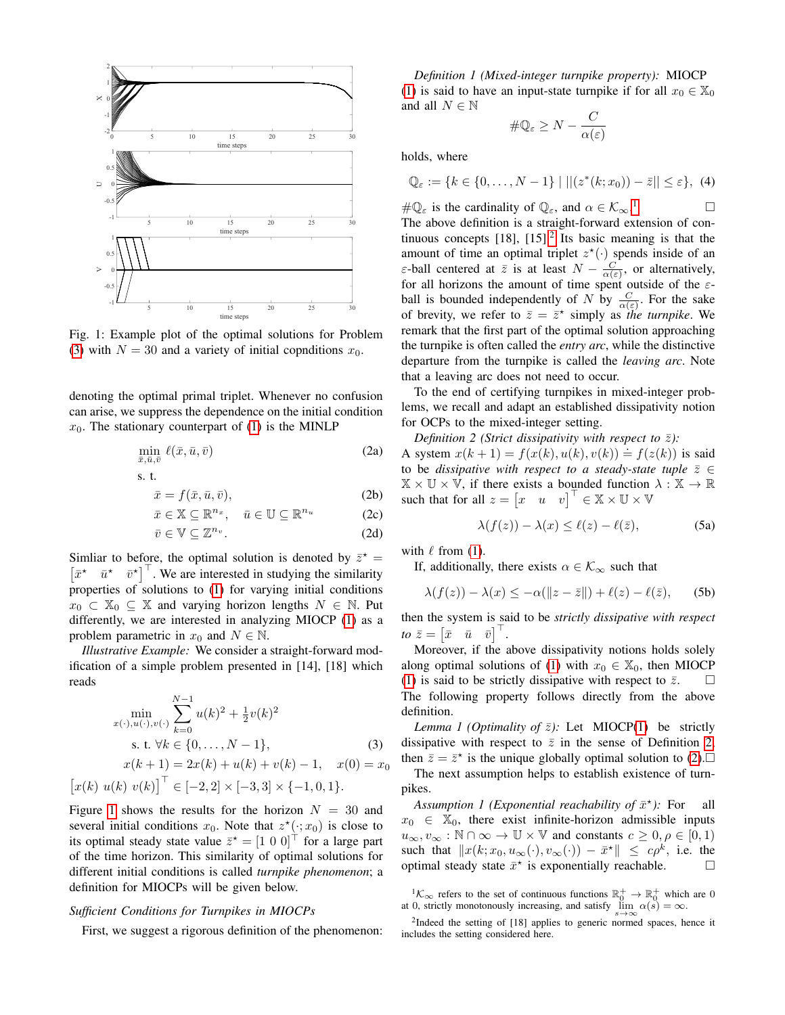<span id="page-1-1"></span>

Fig. 1: Example plot of the optimal solutions for Problem [\(3\)](#page-1-0) with  $N = 30$  and a variety of initial copnditions  $x_0$ .

denoting the optimal primal triplet. Whenever no confusion can arise, we suppress the dependence on the initial condition  $x_0$ . The stationary counterpart of [\(1\)](#page-0-0) is the MINLP

$$
\min_{\bar{x}, \bar{u}, \bar{v}} \ell(\bar{x}, \bar{u}, \bar{v}) \tag{2a}
$$

s. t.

$$
\bar{x} = f(\bar{x}, \bar{u}, \bar{v}),\tag{2b}
$$

$$
\bar{x} \in \mathbb{X} \subseteq \mathbb{R}^{n_x}, \quad \bar{u} \in \mathbb{U} \subseteq \mathbb{R}^{n_u} \tag{2c}
$$

$$
\bar{v} \in \mathbb{V} \subseteq \mathbb{Z}^{n_v}.
$$
 (2d)

Simliar to before, the optimal solution is denoted by  $\bar{z}^* =$  $\begin{bmatrix} \bar{x}^* & \bar{u}^* & \bar{v}^* \end{bmatrix}^\top$ . We are interested in studying the similarity properties of solutions to [\(1\)](#page-0-0) for varying initial conditions  $x_0 \subset \mathbb{X}_0 \subseteq \mathbb{X}$  and varying horizon lengths  $N \in \mathbb{N}$ . Put differently, we are interested in analyzing MIOCP [\(1\)](#page-0-0) as a problem parametric in  $x_0$  and  $N \in \mathbb{N}$ .

*Illustrative Example:* We consider a straight-forward modification of a simple problem presented in [14], [18] which reads

$$
\min_{x(\cdot), u(\cdot), v(\cdot)} \sum_{k=0}^{N-1} u(k)^2 + \frac{1}{2}v(k)^2
$$
\ns. t.  $\forall k \in \{0, ..., N-1\},$  (3)  
\n
$$
x(k+1) = 2x(k) + u(k) + v(k) - 1, \quad x(0) = x_0
$$

 $[x(k) u(k) v(k)]^{\top} \in [-2, 2] \times [-3, 3] \times \{-1, 0, 1\}.$ 

Figure [1](#page-1-1) shows the results for the horizon  $N = 30$  and several initial conditions  $x_0$ . Note that  $z^*(\cdot; x_0)$  is close to its optimal steady state value  $\bar{z}^* = [1 \ 0 \ 0]^\top$  for a large part of the time horizon. This similarity of optimal solutions for different initial conditions is called *turnpike phenomenon*; a definition for MIOCPs will be given below.

## *Sufficient Conditions for Turnpikes in MIOCPs*

First, we suggest a rigorous definition of the phenomenon:

*Definition 1 (Mixed-integer turnpike property):* MIOCP [\(1\)](#page-0-0) is said to have an input-state turnpike if for all  $x_0 \in \mathbb{X}_0$ and all  $N \in \mathbb{N}$ 

$$
\#\mathbb{Q}_{\varepsilon} \geq N - \frac{C}{\alpha(\varepsilon)}
$$

holds, where

<span id="page-1-8"></span>
$$
\mathbb{Q}_{\varepsilon} := \{ k \in \{0, \ldots, N-1\} \mid ||(z^*(k; x_0)) - \bar{z}|| \leq \varepsilon \}, \tag{4}
$$

 $\#\mathbb{Q}_{\varepsilon}$  is the cardinality of  $\mathbb{Q}_{\varepsilon}$ , and  $\alpha \in \mathcal{K}_{\infty}$ .<sup>1</sup>  $\Box$ The above definition is a straight-forward extension of continuous concepts  $[18]$ ,  $[15]$ .<sup>[2](#page-1-3)</sup> Its basic meaning is that the amount of time an optimal triplet  $z^*(\cdot)$  spends inside of an  $\varepsilon$ -ball centered at  $\bar{z}$  is at least  $N - \frac{C}{\alpha(\varepsilon)}$ , or alternatively, for all horizons the amount of time spent outside of the  $\varepsilon$ ball is bounded independently of N by  $\frac{C}{\alpha(\varepsilon)}$ . For the sake of brevity, we refer to  $\overline{z} = \overline{z}^*$  simply as *the turnpike*. We remark that the first part of the optimal solution approaching the turnpike is often called the *entry arc*, while the distinctive departure from the turnpike is called the *leaving arc*. Note that a leaving arc does not need to occur.

To the end of certifying turnpikes in mixed-integer problems, we recall and adapt an established dissipativity notion for OCPs to the mixed-integer setting.

<span id="page-1-5"></span>*Definition 2 (Strict dissipativity with respect to*  $\bar{z}$ ): A system  $x(k+1) = f(x(k), u(k), v(k)) \doteq f(z(k))$  is said to be *dissipative with respect to a steady-state tuple*  $\overline{z}$  ∈  $\mathbb{X} \times \mathbb{U} \times \mathbb{V}$ , if there exists a bounded function  $\lambda : \mathbb{X} \to \mathbb{R}$ such that for all  $z = \begin{bmatrix} x & u & v \end{bmatrix}^\top \in \mathbb{X} \times \mathbb{U} \times \mathbb{V}$ 

<span id="page-1-4"></span>
$$
\lambda(f(z)) - \lambda(x) \le \ell(z) - \ell(\bar{z}),\tag{5a}
$$

with  $\ell$  from [\(1\)](#page-0-0).

If, additionally, there exists  $\alpha \in \mathcal{K}_{\infty}$  such that

$$
\lambda(f(z)) - \lambda(x) \le -\alpha(||z - \bar{z}||) + \ell(z) - \ell(\bar{z}), \quad (5b)
$$

then the system is said to be *strictly dissipative with respect*  $to \bar{z} = \begin{bmatrix} \bar{x} & \bar{u} & \bar{v} \end{bmatrix}^\top$ .

Moreover, if the above dissipativity notions holds solely along optimal solutions of [\(1\)](#page-0-0) with  $x_0 \in \mathbb{X}_0$ , then MIOCP [\(1\)](#page-0-0) is said to be strictly dissipative with respect to  $\bar{z}$ .  $\square$ The following property follows directly from the above definition.

<span id="page-1-0"></span>*Lemma 1 (Optimality of*  $\overline{z}$ ): Let MIOCP[\(1\)](#page-0-0) be strictly dissipative with respect to  $\bar{z}$  in the sense of Definition [2,](#page-1-4) then  $\bar{z} = \bar{z}^*$  is the unique globally optimal solution to [\(2\)](#page-1-5).

The next assumption helps to establish existence of turnpikes.

<span id="page-1-6"></span>Assumption 1 (Exponential reachability of  $\bar{x}^*$ ): For all  $x_0 \in \mathbb{X}_0$ , there exist infinite-horizon admissible inputs  $u_{\infty}, v_{\infty}: \mathbb{N} \cap \infty \to \mathbb{U} \times \mathbb{V}$  and constants  $c \geq 0, \rho \in [0, 1)$ such that  $||x(k; x_0, u_{\infty}(\cdot), v_{\infty}(\cdot)) - \bar{x}^{\star}|| \leq c\rho^{k}$ , i.e. the optimal steady state  $\bar{x}^*$  is exponentially reachable.  $\Box$ 

<span id="page-1-9"></span><span id="page-1-2"></span> ${}^1\mathcal{K}_{\infty}$  refers to the set of continuous functions  $\mathbb{R}_0^+ \to \mathbb{R}_0^+$  which are 0 at 0, strictly monotonously increasing, and satisfy  $\lim_{s \to \infty} \alpha(s) = \infty$ .

<span id="page-1-7"></span><span id="page-1-3"></span> $2$ Indeed the setting of [18] applies to generic normed spaces, hence it includes the setting considered here.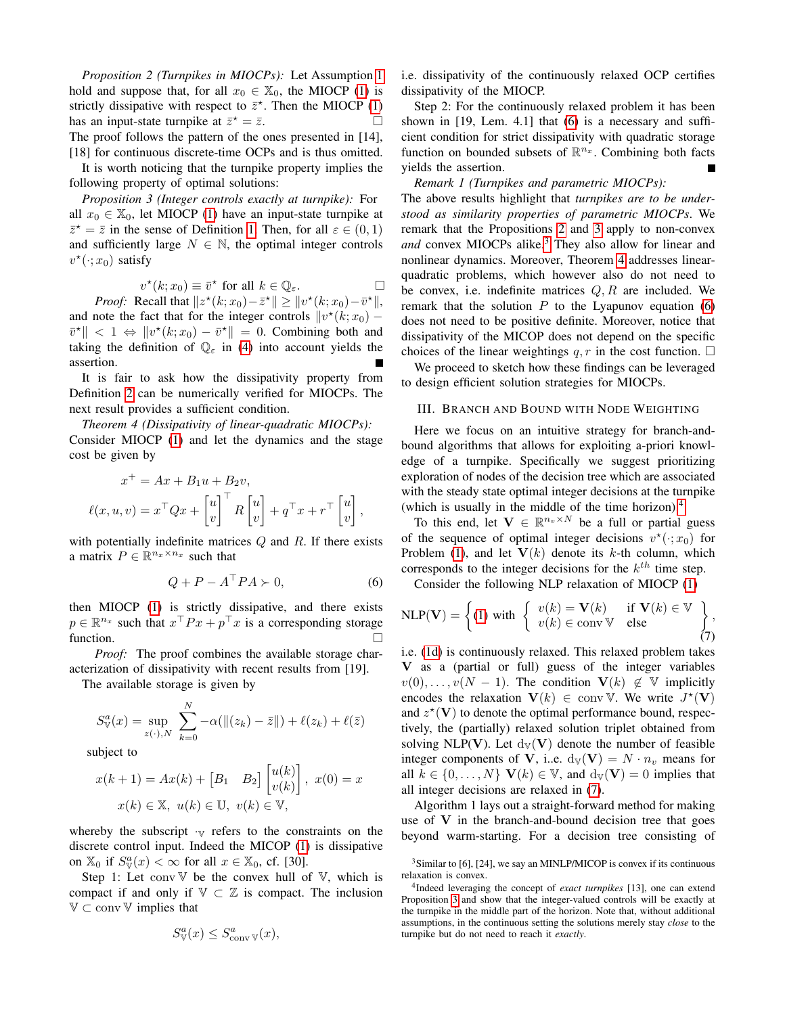*Proposition 2 (Turnpikes in MIOCPs):* Let Assumption [1](#page-1-6) hold and suppose that, for all  $x_0 \in \mathbb{X}_0$ , the MIOCP [\(1\)](#page-0-0) is strictly dissipative with respect to  $\bar{z}^*$ . Then the MIOCP [\(1\)](#page-0-0) has an input-state turnpike at  $\bar{z}^* = \bar{z}$ . The proof follows the pattern of the ones presented in [14],

[18] for continuous discrete-time OCPs and is thus omitted. It is worth noticing that the turnpike property implies the following property of optimal solutions:

*Proposition 3 (Integer controls exactly at turnpike):* For all  $x_0 \in \mathbb{X}_0$ , let MIOCP [\(1\)](#page-0-0) have an input-state turnpike at  $\bar{z}^* = \bar{z}$  in the sense of Definition [1.](#page-1-7) Then, for all  $\varepsilon \in (0,1)$ and sufficiently large  $N \in \mathbb{N}$ , the optimal integer controls  $v^*(\cdot; x_0)$  satisfy

$$
v^{\star}(k; x_0) \equiv \bar{v}^{\star} \text{ for all } k \in \mathbb{Q}_{\varepsilon}.
$$

*Proof:* Recall that  $||z^*(k; x_0) - \bar{z}^*|| \ge ||v^*(k; x_0) - \bar{v}^*||$ , and note the fact that for the integer controls  $\Vert v^*(k; x_0) \bar{v}^* \| < 1 \Leftrightarrow \|v^*(k; x_0) - \bar{v}^*\| = 0$ . Combining both and taking the definition of  $\mathbb{Q}_{\varepsilon}$  in [\(4\)](#page-1-8) into account yields the assertion.

It is fair to ask how the dissipativity property from Definition [2](#page-1-4) can be numerically verified for MIOCPs. The next result provides a sufficient condition.

*Theorem 4 (Dissipativity of linear-quadratic MIOCPs):* Consider MIOCP [\(1\)](#page-0-0) and let the dynamics and the stage cost be given by

$$
x^+ = Ax + B_1 u + B_2 v,
$$
  

$$
\ell(x, u, v) = x^{\top} Q x + \begin{bmatrix} u \\ v \end{bmatrix}^{\top} R \begin{bmatrix} u \\ v \end{bmatrix} + q^{\top} x + r^{\top} \begin{bmatrix} u \\ v \end{bmatrix},
$$

with potentially indefinite matrices  $Q$  and  $R$ . If there exists a matrix  $P \in \mathbb{R}^{n_x \times n_x}$  such that

<span id="page-2-0"></span>
$$
Q + P - A^{\top} P A \succ 0, \tag{6}
$$

then MIOCP [\(1\)](#page-0-0) is strictly dissipative, and there exists  $p \in \mathbb{R}^{n_x}$  such that  $x^{\top}Px + p^{\top}x$  is a corresponding storage function.

*Proof:* The proof combines the available storage characterization of dissipativity with recent results from [19].

The available storage is given by

$$
S_{\mathbb{V}}^{a}(x) = \sup_{z(\cdot),N} \sum_{k=0}^{N} -\alpha(||(z_{k}) - \bar{z}||) + \ell(z_{k}) + \ell(\bar{z})
$$

subject to

$$
x(k+1) = Ax(k) + [B_1 \quad B_2] \begin{bmatrix} u(k) \\ v(k) \end{bmatrix}, \ x(0) = x
$$

$$
x(k) \in \mathbb{X}, \ u(k) \in \mathbb{U}, \ v(k) \in \mathbb{V},
$$

whereby the subscript  $\cdot_{V}$  refers to the constraints on the discrete control input. Indeed the MICOP [\(1\)](#page-0-0) is dissipative on  $\mathbb{X}_0$  if  $S^a_{\mathbb{V}}(x) < \infty$  for all  $x \in \mathbb{X}_0$ , cf. [30].

Step 1: Let conv $\nabla$  be the convex hull of  $\nabla$ , which is compact if and only if  $V \subset \mathbb{Z}$  is compact. The inclusion  $\mathbb{V} \subset \text{conv } \mathbb{V}$  implies that

$$
S^a_{\mathbb{V}}(x) \le S^a_{\text{conv\, \mathbb{V}}(x),
$$

i.e. dissipativity of the continuously relaxed OCP certifies dissipativity of the MIOCP.

Step 2: For the continuously relaxed problem it has been shown in [19, Lem. 4.1] that [\(6\)](#page-2-0) is a necessary and sufficient condition for strict dissipativity with quadratic storage function on bounded subsets of  $\mathbb{R}^{n_x}$ . Combining both facts yields the assertion.

<span id="page-2-1"></span>*Remark 1 (Turnpikes and parametric MIOCPs):* The above results highlight that *turnpikes are to be understood as similarity properties of parametric MIOCPs*. We remark that the Propositions [2](#page-1-9) and [3](#page-2-1) apply to non-convex and convex MIOCPs alike.<sup>[3](#page-2-2)</sup> They also allow for linear and nonlinear dynamics. Moreover, Theorem [4](#page-2-3) addresses linearquadratic problems, which however also do not need to be convex, i.e. indefinite matrices  $Q, R$  are included. We remark that the solution  $P$  to the Lyapunov equation [\(6\)](#page-2-0) does not need to be positive definite. Moreover, notice that dissipativity of the MICOP does not depend on the specific

choices of the linear weightings q, r in the cost function.  $\Box$ We proceed to sketch how these findings can be leveraged to design efficient solution strategies for MIOCPs.

## III. BRANCH AND BOUND WITH NODE WEIGHTING

<span id="page-2-3"></span>Here we focus on an intuitive strategy for branch-andbound algorithms that allows for exploiting a-priori knowledge of a turnpike. Specifically we suggest prioritizing exploration of nodes of the decision tree which are associated with the steady state optimal integer decisions at the turnpike (which is usually in the middle of the time horizon).[4](#page-2-4)

To this end, let  $V \in \mathbb{R}^{n_v \times N}$  be a full or partial guess of the sequence of optimal integer decisions  $v^*(\cdot; x_0)$  for Problem [\(1\)](#page-0-0), and let  $V(k)$  denote its k-th column, which corresponds to the integer decisions for the  $k^{th}$  time step.

Consider the following NLP relaxation of MIOCP [\(1\)](#page-0-0)

<span id="page-2-5"></span>
$$
NLP(\mathbf{V}) = \left\{ (1) \text{ with } \begin{cases} v(k) = \mathbf{V}(k) & \text{if } \mathbf{V}(k) \in \mathbb{V} \\ v(k) \in \text{conv } \mathbb{V} & \text{else} \end{cases} \right\},\tag{7}
$$

i.e. [\(1d\)](#page-0-1) is continuously relaxed. This relaxed problem takes V as a (partial or full) guess of the integer variables  $v(0), \ldots, v(N-1)$ . The condition  $\mathbf{V}(k) \notin \mathbb{V}$  implicitly encodes the relaxation  $V(k) \in \text{conv } V$ . We write  $J^*(V)$ and  $z^*(V)$  to denote the optimal performance bound, respectively, the (partially) relaxed solution triplet obtained from solving NLP(V). Let  $d_V(V)$  denote the number of feasible integer components of V, i.e.  $d_V(V) = N \cdot n_v$  means for all  $k \in \{0, ..., N\}$   $\mathbf{V}(k) \in \mathbb{V}$ , and  $d_{\mathbb{V}}(\mathbf{V}) = 0$  implies that all integer decisions are relaxed in [\(7\)](#page-2-5).

Algorithm 1 lays out a straight-forward method for making use of  $V$  in the branch-and-bound decision tree that goes beyond warm-starting. For a decision tree consisting of

<span id="page-2-2"></span><sup>&</sup>lt;sup>3</sup>Similar to [6], [24], we say an MINLP/MICOP is convex if its continuous relaxation is convex.

<span id="page-2-4"></span><sup>4</sup> Indeed leveraging the concept of *exact turnpikes* [13], one can extend Proposition [3](#page-2-1) and show that the integer-valued controls will be exactly at the turnpike in the middle part of the horizon. Note that, without additional assumptions, in the continuous setting the solutions merely stay *close* to the turnpike but do not need to reach it *exactly*.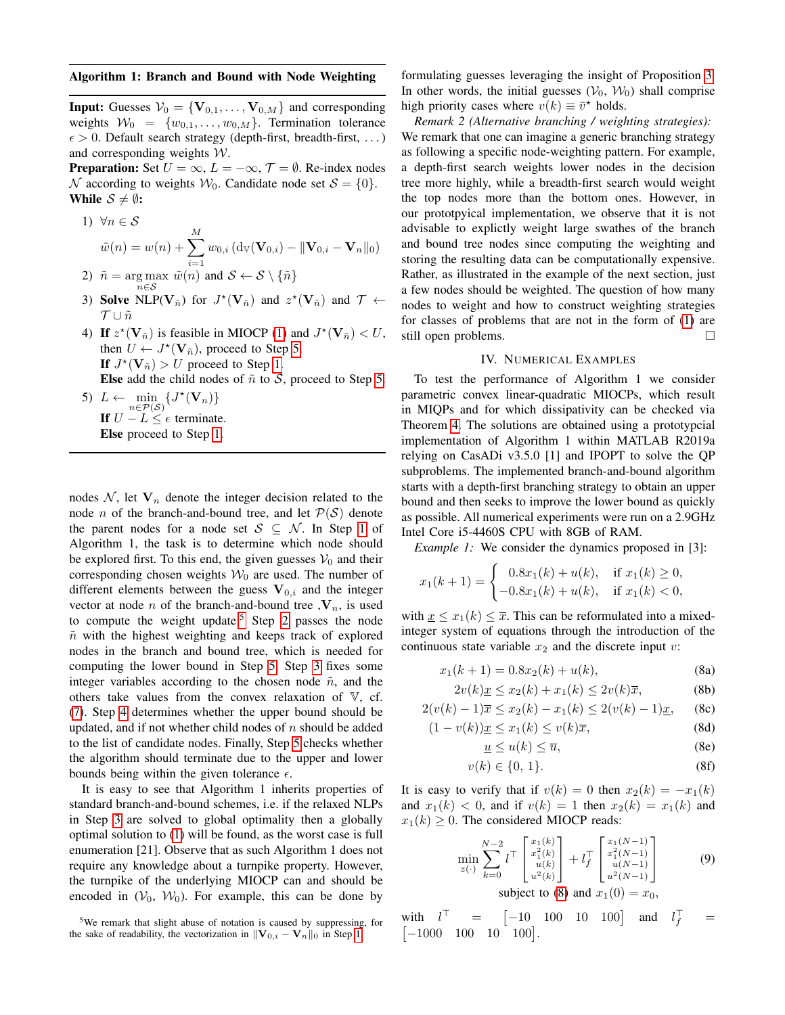**Input:** Guesses  $V_0 = \{V_{0,1}, \ldots, V_{0,M}\}\$ and corresponding weights  $W_0 = \{w_{0,1}, \ldots, w_{0,M}\}.$  Termination tolerance  $\epsilon > 0$ . Default search strategy (depth-first, breadth-first, ...) and corresponding weights W.

**Preparation:** Set  $U = \infty$ ,  $L = -\infty$ ,  $\mathcal{T} = \emptyset$ . Re-index nodes N according to weights  $W_0$ . Candidate node set  $S = \{0\}$ . While  $S \neq \emptyset$ :

<span id="page-3-1"></span>1) 
$$
\forall n \in S
$$
  

$$
\tilde{w}(n) = w(n) + \sum_{i=1}^{M} w_{0,i} (\mathrm{d}_{\mathbb{V}}(\mathbf{V}_{0,i}) - ||\mathbf{V}_{0,i} - \mathbf{V}_{n}||_{0})
$$

- <span id="page-3-3"></span>2)  $\tilde{n} = \arg \max \tilde{w}(n)$  and  $\mathcal{S} \leftarrow \mathcal{S} \setminus \{\tilde{n}\}\$ n∈S
- <span id="page-3-4"></span>3) Solve NLP( $V_{\tilde{n}}$ ) for  $J^{\star}(V_{\tilde{n}})$  and  $z^{\star}(V_{\tilde{n}})$  and  $\mathcal{T} \leftarrow$  $\mathcal{T} \cup \tilde{n}$
- <span id="page-3-5"></span>4) If  $z^*(V_{\tilde{n}})$  is feasible in MIOCP [\(1\)](#page-0-0) and  $J^*(V_{\tilde{n}}) < U$ , then  $U \leftarrow J^*(V_{\tilde{n}})$ , proceed to Step [5.](#page-3-0) If  $J^*(V_{\tilde{n}}) > U$  proceed to Step [1.](#page-3-1) Else add the child nodes of  $\tilde{n}$  to  $S$ , proceed to Step [5.](#page-3-0)
- <span id="page-3-0"></span>5)  $L \leftarrow \min_{n \in \mathcal{P}(\mathcal{S})} \{ J^*(\mathbf{V}_n) \}$ **If**  $U - L \leq \epsilon$  terminate. Else proceed to Step [1.](#page-3-1)

nodes  $N$ , let  $V_n$  denote the integer decision related to the node *n* of the branch-and-bound tree, and let  $P(S)$  denote the parent nodes for a node set  $S \subseteq \mathcal{N}$ . In Step [1](#page-3-1) of Algorithm 1, the task is to determine which node should be explored first. To this end, the given guesses  $V_0$  and their corresponding chosen weights  $W_0$  are used. The number of different elements between the guess  $V_{0,i}$  and the integer vector at node *n* of the branch-and-bound tree ,  $V_n$ , is used to compute the weight update.<sup>[5](#page-3-2)</sup> Step [2](#page-3-3) passes the node  $\tilde{n}$  with the highest weighting and keeps track of explored nodes in the branch and bound tree, which is needed for computing the lower bound in Step [5.](#page-3-0) Step [3](#page-3-4) fixes some integer variables according to the chosen node  $\tilde{n}$ , and the others take values from the convex relaxation of V, cf. [\(7\)](#page-2-5). Step [4](#page-3-5) determines whether the upper bound should be updated, and if not whether child nodes of  $n$  should be added to the list of candidate nodes. Finally, Step [5](#page-3-0) checks whether the algorithm should terminate due to the upper and lower bounds being within the given tolerance  $\epsilon$ .

It is easy to see that Algorithm 1 inherits properties of standard branch-and-bound schemes, i.e. if the relaxed NLPs in Step [3](#page-3-4) are solved to global optimality then a globally optimal solution to [\(1\)](#page-0-0) will be found, as the worst case is full enumeration [21]. Observe that as such Algorithm 1 does not require any knowledge about a turnpike property. However, the turnpike of the underlying MIOCP can and should be encoded in  $(\mathcal{V}_0, \mathcal{W}_0)$ . For example, this can be done by

formulating guesses leveraging the insight of Proposition [3.](#page-2-1) In other words, the initial guesses  $(\mathcal{V}_0, \mathcal{W}_0)$  shall comprise high priority cases where  $v(k) \equiv \bar{v}^*$  holds.

*Remark 2 (Alternative branching / weighting strategies):* We remark that one can imagine a generic branching strategy as following a specific node-weighting pattern. For example, a depth-first search weights lower nodes in the decision tree more highly, while a breadth-first search would weight the top nodes more than the bottom ones. However, in our prototpyical implementation, we observe that it is not advisable to explictly weight large swathes of the branch and bound tree nodes since computing the weighting and storing the resulting data can be computationally expensive. Rather, as illustrated in the example of the next section, just a few nodes should be weighted. The question of how many nodes to weight and how to construct weighting strategies for classes of problems that are not in the form of [\(1\)](#page-0-0) are still open problems.

## IV. NUMERICAL EXAMPLES

To test the performance of Algorithm 1 we consider parametric convex linear-quadratic MIOCPs, which result in MIQPs and for which dissipativity can be checked via Theorem [4.](#page-2-3) The solutions are obtained using a prototypcial implementation of Algorithm 1 within MATLAB R2019a relying on CasADi v3.5.0 [1] and IPOPT to solve the QP subproblems. The implemented branch-and-bound algorithm starts with a depth-first branching strategy to obtain an upper bound and then seeks to improve the lower bound as quickly as possible. All numerical experiments were run on a 2.9GHz Intel Core i5-4460S CPU with 8GB of RAM.

*Example 1:* We consider the dynamics proposed in [3]:

$$
x_1(k+1) = \begin{cases} 0.8x_1(k) + u(k), & \text{if } x_1(k) \ge 0, \\ -0.8x_1(k) + u(k), & \text{if } x_1(k) < 0, \end{cases}
$$

with  $x \leq x_1(k) \leq \overline{x}$ . This can be reformulated into a mixedinteger system of equations through the introduction of the continuous state variable  $x_2$  and the discrete input v:

$$
x_1(k+1) = 0.8x_2(k) + u(k),
$$
 (8a)

$$
2v(k)\underline{x} \le x_2(k) + x_1(k) \le 2v(k)\overline{x},\tag{8b}
$$

$$
2(v(k) - 1)\overline{x} \le x_2(k) - x_1(k) \le 2(v(k) - 1)\underline{x}, \quad \text{(8c)}
$$

$$
(1 - v(k))\underline{x} \le x_1(k) \le v(k)\overline{x},\tag{8d}
$$

<span id="page-3-7"></span><span id="page-3-6"></span>
$$
\underline{u} \le u(k) \le \overline{u},\tag{8e}
$$

$$
v(k) \in \{0, 1\}.\tag{8f}
$$

It is easy to verify that if  $v(k) = 0$  then  $x_2(k) = -x_1(k)$ and  $x_1(k) < 0$ , and if  $v(k) = 1$  then  $x_2(k) = x_1(k)$  and  $x_1(k) \geq 0$ . The considered MIOCP reads:

$$
\min_{z(\cdot)} \sum_{k=0}^{N-2} l^{\top} \begin{bmatrix} x_1(k) \\ x_1^2(k) \\ u(k) \\ u^2(k) \end{bmatrix} + l_f^{\top} \begin{bmatrix} x_1(N-1) \\ x_1^2(N-1) \\ u(N-1) \\ u^2(N-1) \end{bmatrix}
$$
 (9)  
subject to (8) and  $x_1(0) = x_0$ ,

with  $l^{\top}$ with  $l^{\top} = [-10 \quad 100 \quad 10 \quad 100]$  and  $l_f^{\top} = [-1000 \quad 100 \quad 10 \quad 100].$ and  $l_f^{\top}$  $-1000$  100 10 100.

<span id="page-3-2"></span><sup>5</sup>We remark that slight abuse of notation is caused by suppressing, for the sake of readability, the vectorization in  $\|\mathbf{V}_{0,i} - \mathbf{V}_n\|_0$  in Step [1.](#page-3-1)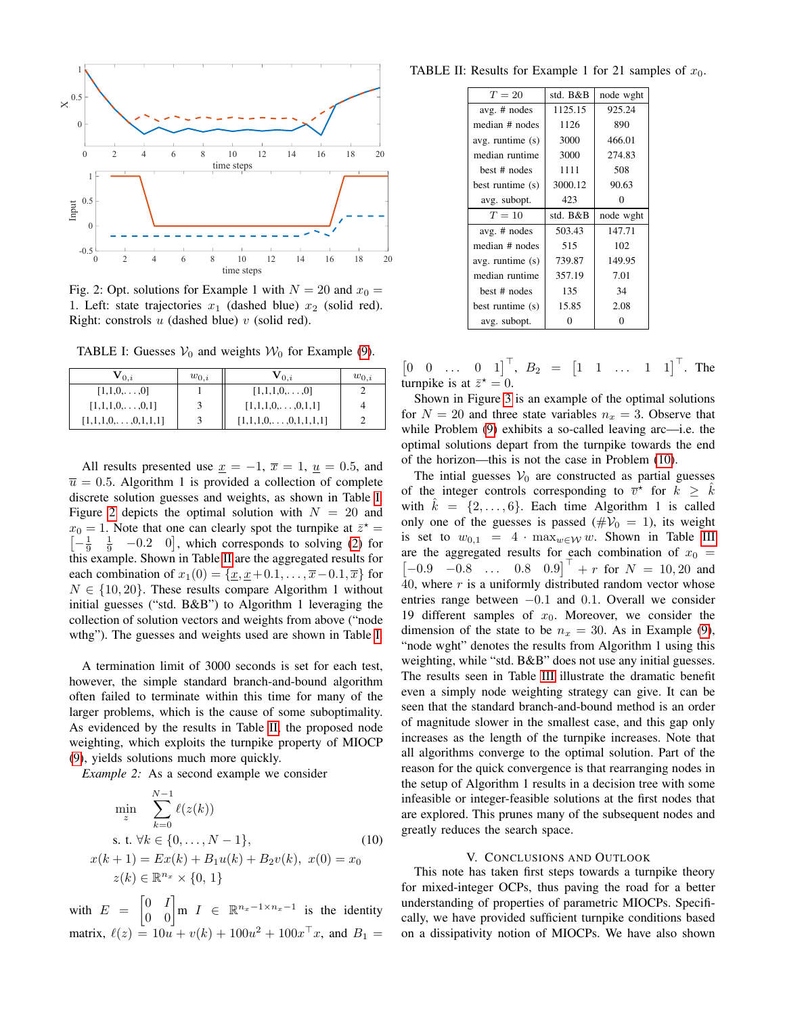<span id="page-4-1"></span>

Fig. 2: Opt. solutions for Example 1 with  $N = 20$  and  $x_0 =$ 1. Left: state trajectories  $x_1$  (dashed blue)  $x_2$  (solid red). Right: constrols  $u$  (dashed blue)  $v$  (solid red).

<span id="page-4-0"></span>TABLE I: Guesses  $V_0$  and weights  $W_0$  for Example [\(9\)](#page-3-7).

| ${\bf v}_{0,i}$            | $w_{0,i}$ | ${\bf v}_{0,i}$              | $w_{0,i}$ |
|----------------------------|-----------|------------------------------|-----------|
| $[1,1,0,\ldots,0]$         |           | $[1,1,1,0,\ldots,0]$         |           |
| $[1,1,1,0,\ldots,0,1]$     |           | $[1,1,1,0,\ldots,0,1,1]$     |           |
| $[1,1,1,0,\ldots,0,1,1,1]$ |           | $[1,1,1,0,\ldots,0,1,1,1,1]$ |           |

All results presented use  $x = -1$ ,  $\overline{x} = 1$ ,  $\overline{u} = 0.5$ , and  $\overline{u} = 0.5$ . Algorithm 1 is provided a collection of complete discrete solution guesses and weights, as shown in Table [I.](#page-4-0) Figure [2](#page-4-1) depicts the optimal solution with  $N = 20$  and  $x_0 = 1$ . Note that one can clearly spot the turnpike at  $\bar{z}^* =$  $\begin{bmatrix} -\frac{1}{9} & \frac{1}{9} & -0.2 & 0 \end{bmatrix}$ , which corresponds to solving [\(2\)](#page-1-5) for this example. Shown in Table [II](#page-4-2) are the aggregated results for each combination of  $x_1(0) = \{x, \underline{x}+0.1, \ldots, \overline{x}-0.1, \overline{x}\}\)$  for  $N \in \{10, 20\}$ . These results compare Algorithm 1 without initial guesses ("std. B&B") to Algorithm 1 leveraging the collection of solution vectors and weights from above ("node wthg"). The guesses and weights used are shown in Table [I.](#page-4-0)

A termination limit of 3000 seconds is set for each test, however, the simple standard branch-and-bound algorithm often failed to terminate within this time for many of the larger problems, which is the cause of some suboptimality. As evidenced by the results in Table [II,](#page-4-2) the proposed node weighting, which exploits the turnpike property of MIOCP [\(9\)](#page-3-7), yields solutions much more quickly.

*Example 2:* As a second example we consider

$$
\min_{z} \sum_{k=0}^{N-1} \ell(z(k))
$$
\ns. t.  $\forall k \in \{0, ..., N-1\},$   
\n
$$
x(k+1) = Ex(k) + B_1 u(k) + B_2 v(k), x(0) = x_0
$$
  
\n
$$
z(k) \in \mathbb{R}^{n_x} \times \{0, 1\}
$$
\n(10)

with  $E = \begin{bmatrix} 0 & I \\ 0 & 0 \end{bmatrix}$ m  $I \in \mathbb{R}^{n_x - 1 \times n_x - 1}$  is the identity matrix,  $\ell(z) = 10u + v(k) + 100u^2 + 100x^{\top}x$ , and  $B_1 =$ 

<span id="page-4-2"></span>TABLE II: Results for Example 1 for 21 samples of  $x_0$ .

| $T = 20$           | std. B&B | node wght |
|--------------------|----------|-----------|
| avg. # nodes       | 1125.15  | 925.24    |
| median # nodes     | 1126     | 890       |
| avg. runtime (s)   | 3000     | 466.01    |
| median runtime     | 3000     | 274.83    |
| best # nodes       | 1111     | 508       |
| best runtime (s)   | 3000.12  | 90.63     |
| avg. subopt.       | 423      | 0         |
|                    |          |           |
| $T=10$             | std. B&B | node wght |
| avg. # nodes       | 503.43   | 147.71    |
| median # nodes     | 515      | 102       |
| avg. runtime $(s)$ | 739.87   | 149.95    |
| median runtime     | 357.19   | 7.01      |
| best # nodes       | 135      | 34        |
| best runtime (s)   | 15.85    | 2.08      |

 $\begin{bmatrix} 0 & 0 & \dots & 0 & 1 \end{bmatrix}^T$ ,  $B_2 = \begin{bmatrix} 1 & 1 & \dots & 1 & 1 \end{bmatrix}^T$ . The turnpike is at  $\bar{z}^* = 0$ .

Shown in Figure [3](#page-5-0) is an example of the optimal solutions for  $N = 20$  and three state variables  $n_x = 3$ . Observe that while Problem [\(9\)](#page-3-7) exhibits a so-called leaving arc—i.e. the optimal solutions depart from the turnpike towards the end of the horizon—this is not the case in Problem [\(10\)](#page-4-3).

The intial guesses  $V_0$  are constructed as partial guesses of the integer controls corresponding to  $\overline{v}^*$  for  $k \geq \hat{k}$ with  $k = \{2, \ldots, 6\}$ . Each time Algorithm 1 is called only one of the guesses is passed ( $\#\mathcal{V}_0 = 1$ ), its weight is set to  $w_{0,1} = 4 \cdot \max_{w \in \mathcal{W}} w$ . Shown in Table [III](#page-5-1) are the aggregated results for each combination of  $x_0 =$  $[-0.9 \quad -0.8 \quad \dots \quad 0.8 \quad 0.9]^\top + r$  for  $N = 10, 20$  and 40, where  $r$  is a uniformly distributed random vector whose entries range between −0.1 and 0.1. Overall we consider 19 different samples of  $x_0$ . Moreover, we consider the dimension of the state to be  $n_x = 30$ . As in Example [\(9\)](#page-3-7), "node wght" denotes the results from Algorithm 1 using this weighting, while "std. B&B" does not use any initial guesses. The results seen in Table [III](#page-5-1) illustrate the dramatic benefit even a simply node weighting strategy can give. It can be seen that the standard branch-and-bound method is an order of magnitude slower in the smallest case, and this gap only increases as the length of the turnpike increases. Note that all algorithms converge to the optimal solution. Part of the reason for the quick convergence is that rearranging nodes in the setup of Algorithm 1 results in a decision tree with some infeasible or integer-feasible solutions at the first nodes that are explored. This prunes many of the subsequent nodes and greatly reduces the search space.

### V. CONCLUSIONS AND OUTLOOK

<span id="page-4-3"></span>This note has taken first steps towards a turnpike theory for mixed-integer OCPs, thus paving the road for a better understanding of properties of parametric MIOCPs. Specifically, we have provided sufficient turnpike conditions based on a dissipativity notion of MIOCPs. We have also shown